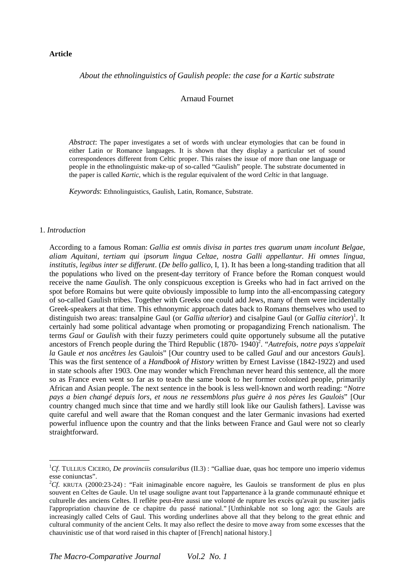#### **Article**

# *About the ethnolinguistics of Gaulish people: the case for a Kartic substrate*

# Arnaud Fournet

*Abstract*: The paper investigates a set of words with unclear etymologies that can be found in either Latin or Romance languages. It is shown that they display a particular set of sound correspondences different from Celtic proper. This raises the issue of more than one language or people in the ethnolinguistic make-up of so-called "Gaulish" people. The substrate documented in the paper is called *Kartic*, which is the regular equivalent of the word *Celtic* in that language.

*Keywords*: Ethnolinguistics, Gaulish, Latin, Romance, Substrate.

#### 1. *Introduction*

 $\overline{a}$ 

According to a famous Roman: *Gallia est omnis divisa in partes tres quarum unam incolunt Belgae, aliam Aquitani, tertiam qui ipsorum lingua Celtae, nostra Galli appellantur. Hi omnes lingua, institutis, legibus inter se differunt*. (*De bello gallico*, I, 1). It has been a long-standing tradition that all the populations who lived on the present-day territory of France before the Roman conquest would receive the name *Gaulish*. The only conspicuous exception is Greeks who had in fact arrived on the spot before Romains but were quite obviously impossible to lump into the all-encompassing category of so-called Gaulish tribes. Together with Greeks one could add Jews, many of them were incidentally Greek-speakers at that time. This ethnonymic approach dates back to Romans themselves who used to distinguish two areas: transalpine Gaul (or *Gallia ulterior*) and cisalpine Gaul (or *Gallia citerior*)<sup>1</sup>. It certainly had some political advantage when promoting or propagandizing French nationalism. The terms *Gaul* or *Gaulish* with their fuzzy perimeters could quite opportunely subsume all the putative ancestors of French people during the Third Republic (1870- 1940)<sup>2</sup>. "Autrefois, notre pays s'appelait *la* Gaule *et nos ancêtres les* Gaulois" [Our country used to be called *Gaul* and our ancestors *Gauls*]. This was the first sentence of a *Handbook of History* written by Ernest Lavisse (1842-1922) and used in state schools after 1903. One may wonder which Frenchman never heard this sentence, all the more so as France even went so far as to teach the same book to her former colonized people, primarily African and Asian people. The next sentence in the book is less well-known and worth reading: "*Notre pays a bien changé depuis lors, et nous ne ressemblons plus guère à nos pères les Gaulois*" [Our country changed much since that time and we hardly still look like our Gaulish fathers]. Lavisse was quite careful and well aware that the Roman conquest and the later Germanic invasions had exerted powerful influence upon the country and that the links between France and Gaul were not so clearly straightforward.

<sup>1</sup>*Cf*. TULLIUS CICERO, *De provinciis consularibus* (II.3) : "Galliae duae, quas hoc tempore uno imperio videmus esse coniunctas".

<sup>2</sup>*Cf*. KRUTA (2000:23-24) : "Fait inimaginable encore naguère, les Gaulois se transforment de plus en plus souvent en Celtes de Gaule. Un tel usage souligne avant tout l'appartenance à la grande communauté ethnique et culturelle des anciens Celtes. Il reflète peut-être aussi une volonté de rupture les excès qu'avait pu susciter jadis l'appropriation chauvine de ce chapitre du passé national." [Unthinkable not so long ago: the Gauls are increasingly called Celts of Gaul. This wording underlines above all that they belong to the great ethnic and cultural community of the ancient Celts. It may also reflect the desire to move away from some excesses that the chauvinistic use of that word raised in this chapter of [French] national history.]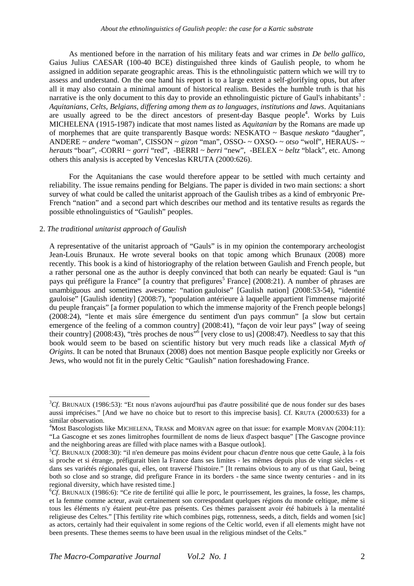As mentioned before in the narration of his military feats and war crimes in *De bello gallico*, Gaius Julius CAESAR (100-40 BCE) distinguished three kinds of Gaulish people, to whom he assigned in addition separate geographic areas. This is the ethnolinguistic pattern which we will try to assess and understand. On the one hand his report is to a large extent a self-glorifying opus, but after all it may also contain a minimal amount of historical realism. Besides the humble truth is that his narrative is the only document to this day to provide an ethnolinguistic picture of Gaul's inhabitants<sup>3</sup>: *Aquitanians, Celts, Belgians, differing among them as to languages, institutions and laws*. Aquitanians are usually agreed to be the direct ancestors of present-day Basque people<sup>4</sup>. Works by Luis MICHELENA (1915-1987) indicate that most names listed as *Aquitanian* by the Romans are made up of morphemes that are quite transparently Basque words: NESKATO ~ Basque *neskato* "daugher", ANDERE ~ *andere* "woman", CISSON ~ *gizon* "man", OSSO- ~ OXSO- ~ *otso* "wolf", HERAUS- ~ *herauts* "boar", -CORRI ~ *gorri* "red", -BERRI ~ *berri* "new", -BELEX ~ *beltz* "black", etc. Among others this analysis is accepted by Venceslas KRUTA (2000:626).

For the Aquitanians the case would therefore appear to be settled with much certainty and reliability. The issue remains pending for Belgians. The paper is divided in two main sections: a short survey of what could be called the unitarist approach of the Gaulish tribes as a kind of embryonic Pre-French "nation" and a second part which describes our method and its tentative results as regards the possible ethnolinguistics of "Gaulish" peoples.

#### 2. *The traditional unitarist approach of Gaulish*

 $\overline{a}$ 

A representative of the unitarist approach of "Gauls" is in my opinion the contemporary archeologist Jean-Louis Brunaux. He wrote several books on that topic among which Brunaux (2008) more recently. This book is a kind of historiography of the relation between Gaulish and French people, but a rather personal one as the author is deeply convinced that both can nearly be equated: Gaul is "un pays qui préfigure la France" [a country that prefigures<sup>5</sup> France] (2008:21). A number of phrases are unambiguous and sometimes awesome: "nation gauloise" [Gaulish nation] (2008:53-54), "identité gauloise" [Gaulish identity] (2008:7), "population antérieure à laquelle appartient l'immense majorité du peuple français" [a former population to which the immense majority of the French people belongs] (2008:24), "lente et mais sûre émergence du sentiment d'un pays commun" [a slow but certain emergence of the feeling of a common country] (2008:41), "façon de voir leur pays" [way of seeing their country] (2008:43), "très proches de nous"<sup>6</sup> [very close to us] (2008:47). Needless to say that this book would seem to be based on scientific history but very much reads like a classical *Myth of Origins*. It can be noted that Brunaux (2008) does not mention Basque people explicitly nor Greeks or Jews, who would not fit in the purely Celtic "Gaulish" nation foreshadowing France.

<sup>3</sup>*Cf*. BRUNAUX (1986:53): "Et nous n'avons aujourd'hui pas d'autre possibilité que de nous fonder sur des bases aussi imprécises." [And we have no choice but to resort to this imprecise basis]. Cf. KRUTA (2000:633) for a similar observation.

<sup>&</sup>lt;sup>4</sup>Most Bascologists like MICHELENA, TRASK and MORVAN agree on that issue: for example MORVAN (2004:11): "La Gascogne et ses zones limitrophes fourmillent de noms de lieux d'aspect basque" [The Gascogne province and the neighboring areas are filled with place names with a Basque outlook].

<sup>5</sup>*Cf*. BRUNAUX (2008:30): "il n'en demeure pas moins évident pour chacun d'entre nous que cette Gaule, à la fois si proche et si étrange, préfigurait bien la France dans ses limites - les mêmes depuis plus de vingt siècles - et dans ses variétés régionales qui, elles, ont traversé l'histoire." [It remains obvious to any of us that Gaul, being both so close and so strange, did prefigure France in its borders - the same since twenty centuries - and in its regional diversity, which have resisted time.]

<sup>6</sup>*Cf*. BRUNAUX (1986:6): "Ce rite de fertilité qui allie le porc, le pourrissement, les graines, la fosse, les champs, et la femme comme acteur, avait certainement son correspondant quelques régions du monde celtique, même si tous les éléments n'y étaient peut-être pas présents. Ces thèmes paraissent avoir été habituels à la mentalité religieuse des Celtes." [This fertility rite which combines pigs, rottenness, seeds, a ditch, fields and women [sic] as actors, certainly had their equivalent in some regions of the Celtic world, even if all elements might have not been presents. These themes seems to have been usual in the religious mindset of the Celts."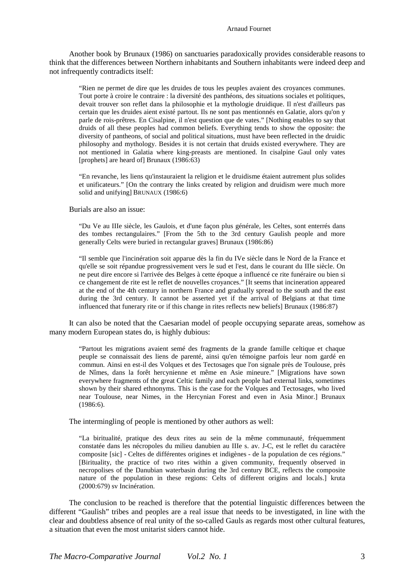Another book by Brunaux (1986) on sanctuaries paradoxically provides considerable reasons to think that the differences between Northern inhabitants and Southern inhabitants were indeed deep and not infrequently contradicts itself:

"Rien ne permet de dire que les druides de tous les peuples avaient des croyances communes. Tout porte à croire le contraire : la diversité des panthéons, des situations sociales et politiques, devait trouver son reflet dans la philosophie et la mythologie druidique. Il n'est d'ailleurs pas certain que les druides aient existé partout. Ils ne sont pas mentionnés en Galatie, alors qu'on y parle de rois-prêtres. En Cisalpine, il n'est question que de vates." [Nothing enables to say that druids of all these peoples had common beliefs. Everything tends to show the opposite: the diversity of pantheons, of social and political situations, must have been reflected in the druidic philosophy and mythology. Besides it is not certain that druids existed everywhere. They are not mentioned in Galatia where king-preasts are mentioned. In cisalpine Gaul only vates [prophets] are heard of] Brunaux (1986:63)

"En revanche, les liens qu'instauraient la religion et le druidisme étaient autrement plus solides et unificateurs." [On the contrary the links created by religion and druidism were much more solid and unifying] BRUNAUX (1986:6)

Burials are also an issue:

"Du Ve au IIIe siècle, les Gaulois, et d'une façon plus générale, les Celtes, sont enterrés dans des tombes rectangulaires." [From the 5th to the 3rd century Gaulish people and more generally Celts were buried in rectangular graves] Brunaux (1986:86)

"Il semble que l'incinération soit apparue dès la fin du IVe siècle dans le Nord de la France et qu'elle se soit répandue progressivement vers le sud et l'est, dans le courant du IIIe siècle. On ne peut dire encore si l'arrivée des Belges à cette époque a influencé ce rite funéraire ou bien si ce changement de rite est le reflet de nouvelles croyances." [It seems that incineration appeared at the end of the 4th century in northern France and gradually spread to the south and the east during the 3rd century. It cannot be asserted yet if the arrival of Belgians at that time influenced that funerary rite or if this change in rites reflects new beliefs] Brunaux (1986:87)

It can also be noted that the Caesarian model of people occupying separate areas, somehow as many modern European states do, is highly dubious:

"Partout les migrations avaient semé des fragments de la grande famille celtique et chaque peuple se connaissait des liens de parenté, ainsi qu'en témoigne parfois leur nom gardé en commun. Ainsi en est-il des Volques et des Tectosages que l'on signale près de Toulouse, près de Nîmes, dans la forêt hercynienne et même en Asie mineure." [Migrations have sown everywhere fragments of the great Celtic family and each people had external links, sometimes shown by their shared ethnonyms. This is the case for the Volques and Tectosages, who lived near Toulouse, near Nimes, in the Hercynian Forest and even in Asia Minor.] Brunaux (1986:6).

The intermingling of people is mentioned by other authors as well:

"La biritualité, pratique des deux rites au sein de la même communauté, fréquemment constatée dans les nécropoles du milieu danubien au IIIe s. av. J-C, est le reflet du caractère composite [sic] - Celtes de différentes origines et indigènes - de la population de ces régions." [Birituality, the practice of two rites within a given community, frequently observed in necropolises of the Danubian waterbasin during the 3rd century BCE, reflects the composite nature of the population in these regions: Celts of different origins and locals.] kruta (2000:679) sv Incinération.

The conclusion to be reached is therefore that the potential linguistic differences between the different "Gaulish" tribes and peoples are a real issue that needs to be investigated, in line with the clear and doubtless absence of real unity of the so-called Gauls as regards most other cultural features, a situation that even the most unitarist siders cannot hide.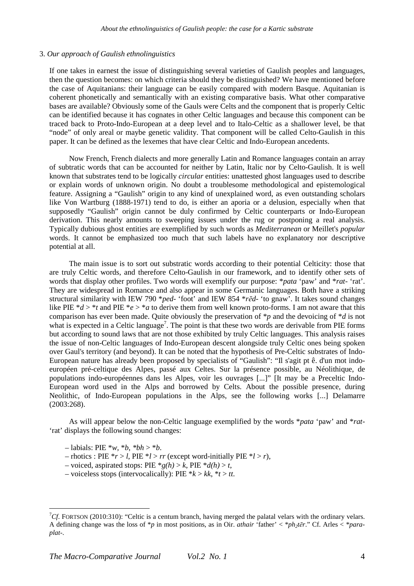#### 3. *Our approach of Gaulish ethnolinguistics*

If one takes in earnest the issue of distinguishing several varieties of Gaulish peoples and languages, then the question becomes: on which criteria should they be distinguished? We have mentioned before the case of Aquitanians: their language can be easily compared with modern Basque. Aquitanian is coherent phonetically and semantically with an existing comparative basis. What other comparative bases are available? Obviously some of the Gauls were Celts and the component that is properly Celtic can be identified because it has cognates in other Celtic languages and because this component can be traced back to Proto-Indo-European at a deep level and to Italo-Celtic as a shallower level, be that "node" of only areal or maybe genetic validity. That component will be called Celto-Gaulish in this paper. It can be defined as the lexemes that have clear Celtic and Indo-European ancedents.

Now French, French dialects and more generally Latin and Romance languages contain an array of subtratic words that can be accounted for neither by Latin, Italic nor by Celto-Gaulish. It is well known that substrates tend to be logically *circular* entities: unattested ghost languages used to describe or explain words of unknown origin. No doubt a troublesome methodological and epistemological feature. Assigning a "Gaulish" origin to any kind of unexplained word, as even outstanding scholars like Von Wartburg (1888-1971) tend to do, is either an aporia or a delusion, especially when that supposedly "Gaulish" origin cannot be duly confirmed by Celtic counterparts or Indo-European derivation. This nearly amounts to sweeping issues under the rug or postponing a real analysis. Typically dubious ghost entities are exemplified by such words as *Mediterranean* or Meillet's *popular* words. It cannot be emphasized too much that such labels have no explanatory nor descriptive potential at all.

The main issue is to sort out substratic words according to their potential Celticity: those that are truly Celtic words, and therefore Celto-Gaulish in our framework, and to identify other sets of words that display other profiles. Two words will exemplify our purpose: \**pata* 'paw' and \**rat-* 'rat'. They are widespread in Romance and also appear in some Germanic languages. Both have a striking structural similarity with IEW 790 \**ped*- 'foot' and IEW 854 \**rēd*- 'to gnaw'. It takes sound changes like PIE \**d* > \**t* and PIE \**e* > \**a* to derive them from well known proto-forms. I am not aware that this comparison has ever been made. Quite obviously the preservation of \**p* and the devoicing of \**d* is not what is expected in a Celtic language<sup>7</sup>. The point is that these two words are derivable from PIE forms but according to sound laws that are not those exhibited by truly Celtic languages. This analysis raises the issue of non-Celtic languages of Indo-European descent alongside truly Celtic ones being spoken over Gaul's territory (and beyond). It can be noted that the hypothesis of Pre-Celtic substrates of Indo-European nature has already been proposed by specialists of "Gaulish": "Il s'agit pt ê. d'un mot indoeuropéen pré-celtique des Alpes, passé aux Celtes. Sur la présence possible, au Néolithique, de populations indo-européennes dans les Alpes, voir les ouvrages [...]" [It may be a Preceltic Indo-European word used in the Alps and borrowed by Celts. About the possible presence, during Neolithic, of Indo-European populations in the Alps, see the following works [...] Delamarre (2003:268).

As will appear below the non-Celtic language exemplified by the words \**pata* 'paw' and \**rat-* 'rat' displays the following sound changes:

 $-$  labials: PIE  $*_{W, *b, *bh} > *b$ .

 $\overline{a}$ 

 $-$  rhotics : PIE  $*$ *r* > *l*, PIE  $*$ *l* > *rr* (except word-initially PIE  $*$ *l* > *r*),

- voiced, aspirated stops: PIE  $*g(h) > k$ , PIE  $*d(h) > t$ ,
- $-$  voiceless stops (intervocalically): PIE  $*k > kk$ ,  $*t > tt$ .

<sup>&</sup>lt;sup>7</sup>Cf. FORTSON (2010:310): "Celtic is a centum branch, having merged the palatal velars with the ordinary velars. A defining change was the loss of \**p* in most positions, as in Oir. *athair* 'father' < \**ph2tēr*." Cf. Arles < \**paraplat*-.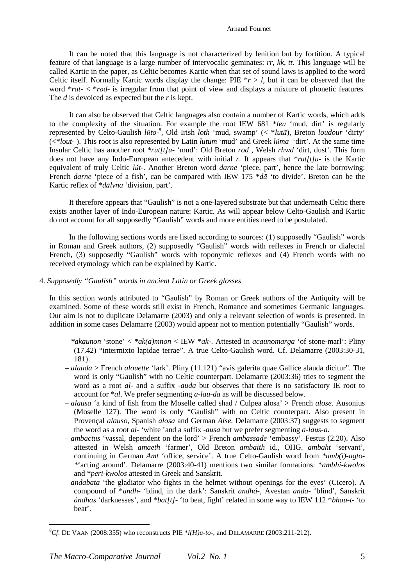#### Arnaud Fournet

It can be noted that this language is not characterized by lenition but by fortition. A typical feature of that language is a large number of intervocalic geminates: *rr*, *kk*, *tt*. This language will be called Kartic in the paper, as Celtic becomes Kartic when that set of sound laws is applied to the word Celtic itself. Normally Kartic words display the change: PIE  $r > l$ , but it can be observed that the word \**rat*- < \**rōd*- is irregular from that point of view and displays a mixture of phonetic features. The *d* is devoiced as expected but the *r* is kept.

It can also be observed that Celtic languages also contain a number of Kartic words, which adds to the complexity of the situation. For example the root IEW 681 \**leu* 'mud, dirt' is regularly represented by Celto-Gaulish *lŭto*-8 , Old Irish *loth* 'mud, swamp' (< \**lutā*), Breton *loudour* 'dirty' (<\**lout*- ). This root is also represented by Latin *lutum* 'mud' and Greek *lũma* 'dirt'. At the same time Insular Celtic has another root \**rut[t]u*- 'mud': Old Breton *rod* , Welsh *rhwd* 'dirt, dust'. This form does not have any Indo-European antecedent with initial *r*. It appears that  $**rut*/t/u-$  is the Kartic equivalent of truly Celtic *lŭt*-. Another Breton word *darne* 'piece, part', hence the late borrowing: French *darne* 'piece of a fish', can be compared with IEW 175 \**dā* 'to divide'. Breton can be the Kartic reflex of \**dālvna* 'division, part'.

It therefore appears that "Gaulish" is not a one-layered substrate but that underneath Celtic there exists another layer of Indo-European nature: Kartic. As will appear below Celto-Gaulish and Kartic do not account for all supposedly "Gaulish" words and more entities need to be postulated.

In the following sections words are listed according to sources: (1) supposedly "Gaulish" words in Roman and Greek authors, (2) supposedly "Gaulish" words with reflexes in French or dialectal French, (3) supposedly "Gaulish" words with toponymic reflexes and (4) French words with no received etymology which can be explained by Kartic.

# 4. *Supposedly "Gaulish" words in ancient Latin or Greek glosses*

In this section words attributed to "Gaulish" by Roman or Greek authors of the Antiquity will be examined. Some of these words still exist in French, Romance and sometimes Germanic languages. Our aim is not to duplicate Delamarre (2003) and only a relevant selection of words is presented. In addition in some cases Delamarre (2003) would appear not to mention potentially "Gaulish" words.

- *\*akaunon* 'stone' < *\*ak(a)mnon* < IEW \**ak*-. Attested in *acaunomarga* 'of stone-marl': Pliny (17.42) "intermixto lapidae terrae". A true Celto-Gaulish word. Cf. Delamarre (2003:30-31, 181).
- *alauda* > French *alouette* 'lark'. Pliny (11.121) "avis galerita quae Gallice alauda dicitur". The word is only "Gaulish" with no Celtic counterpart. Delamarre (2003:36) tries to segment the word as a root *al*- and a suffix -*auda* but observes that there is no satisfactory IE root to account for \**al*. We prefer segmenting *a-lau-da* as will be discussed below.
- *alausa* 'a kind of fish from the Moselle called shad / Culpea alosa' > French *alose.* Ausonius (Moselle 127). The word is only "Gaulish" with no Celtic counterpart. Also present in Provençal *alauso*, Spanish *alosa* and German *Alse.* Delamarre (2003:37) suggests to segment the word as a root *al*- 'white 'and a suffix -*ausa* but we prefer segmenting *a-laus-a*.
- *ambactus* 'vassal, dependent on the lord' > French *ambassade* 'embassy'. Festus (2.20). Also attested in Welsh *amaeth* 'farmer', Old Breton *ambaith* id., OHG. *ambaht* 'servant', continuing in German *Amt* 'office, service'. A true Celto-Gaulish word from *\*amb(i)-agto- \**'acting around'. Delamarre (2003:40-41) mentions two similar formations: \**ambhi-kwolos* and \**peri-kwolos* attested in Greek and Sanskrit.
- *andabata* 'the gladiator who fights in the helmet without openings for the eyes' (Cicero). A compound of \**andh*- 'blind, in the dark': Sanskrit *andhá-,* Avestan *anda-* 'blind', Sanskrit *ándhas* 'darknesses', and \**bat[t]*- 'to beat, fight' related in some way to IEW 112 \**bhau-t*- 'to beat'.

 $\overline{a}$ 

 ${}^{8}Cf$ . DE VAAN (2008:355) who reconstructs PIE  $*l(H)u$ -to-, and DELAMARRE (2003:211-212).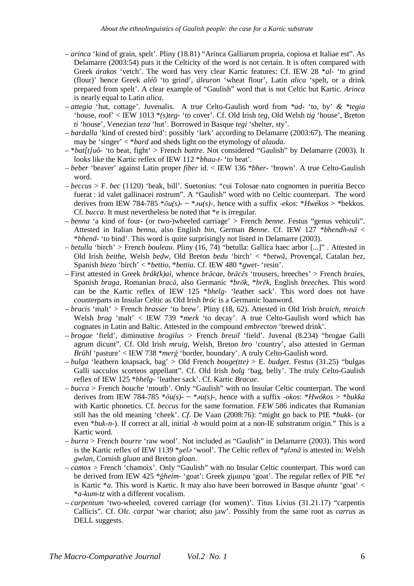- *arinca* 'kind of grain, spelt'. Pliny (18.81) "Arinca Galliarum propria, copiosa et Italiae est". As Delamarre (2003:54) puts it the Celticity of the word is not certain. It is often compared with Greek *árakos* 'vetch'. The word has very clear Kartic features: Cf. IEW 28 \**al*- 'to grind (flour)' hence Greek *aléô* 'to grind', *áleuron* 'wheat flour', Latin *alica* 'spelt, or a drink prepared from spelt'. A clear example of "Gaulish" word that is not Celtic but Kartic. *Arinca* is nearly equal to Latin *alica*.
- *attegia* 'hut, cottage'. Juvenalis. A true Celto-Gaulish word from *\*ad-* 'to, by' *& \*tegia*  'house, roof' < IEW 1013 \**(s)teg*- 'to cover'. Cf. Old Irish *teg*, Old Welsh *tig* 'house', Breton *ti* 'house', Venezian *teza* 'hut'. Borrowed in Basque *tegi* 'shelter, sty'.
- *bardalla* 'kind of crested bird': possibly 'lark' according to Delamarre (2003:67). The meaning may be 'singer' < \**bard* and sheds light on the etymology of *alauda*.
- \**bat[t]uô* 'to beat, fight' > French *battre*. Not considered "Gaulish" by Delamarre (2003). It looks like the Kartic reflex of IEW 112 \**bhau-t*- 'to beat'.
- *beber* 'beaver' against Latin proper *fiber* id. < IEW 136 \**bher* 'brown'. A true Celto-Gaulish word.
- *beccus* > F. *bec* (1120) 'beak, bill'. Suetonius: "cui Tolosae nato cognomen in pueritia Becco fuerat : id valet gallinacei rostrum". A "Gaulish" word with no Celtic counterpart. The word derives from IEW 784-785 \**ōu(s)*- ~ \**ǝu(s)*-, hence with a suffix -*ekos*: \**Hwékos* > \*bekkos. Cf. *bucca*. It must nevertheless be noted that \*e is irregular.
- *benna* 'a kind of four- (or two-)wheeled carriage' > French *benne*. Festus "genus vehiculi". Attested in Italian *benna*, also English *bin*, German *Benne*. Cf. IEW 127 \**bhendh-nā* < \**bhend*- 'to bind'. This word is quite surprisingly not listed in Delamarre (2003).
- *betulla* 'birch' > French *bouleau*. Pliny (16, 74) "betulla: Gallica haec arbor [...]" . Attested in Old Irish *beithe*, Welsh *bedw*, Old Breton *bedu* 'birch' < \**betwā*, Provençal, Catalan *bez*, Spanish *biezo* 'birch' < \**bettio*, \**bettia*. Cf. IEW 480 \**gwet*- 'resin'.
- First attested in Greek *brák(k)ai*, whence *brācae*, *brācēs* 'trousers, breeches' > French *braies*, Spanish *braga*, Romanian *bracă*, also Germanic \**brōk*, \**brēk*, English *breeches*. This word can be the Kartic reflex of IEW 125 \**bhelg*- 'leather sack'. This word does not have counterparts in Insular Celtic as Old Irish *bróc* is a Germanic loanword.
- *bracis* 'malt' > French *brasser* 'to brew'. Pliny (18, 62). Attested in Old Irish *braich*, *mraich* Welsh *brag* 'malt' < IEW 739 \**merk* 'to decay'. A true Celto-Gaulish word which has cognates in Latin and Baltic. Attested in the compound *embrecton* 'brewed drink'.
- *brogae* 'field', diminutive *brogilus >* French *breuil* 'field'. Juvenal (8.234) "brogae Galli agrum dicunt". Cf. Old Irish *mruig*, Welsh, Breton *bro* 'country', also attested in German *Brühl* 'pasture' < IEW 738 \**merğ* 'border, boundary'. A truly Celto-Gaulish word.
- *bulga* 'leathern knapsack, bag' > Old French *bouge(tte)* > E. *budget*. Festus (31.25) "bulgas Galli sacculos scorteos appellant". Cf. Old Irish *bolg* 'bag, belly'. The truly Celto-Gaulish reflex of IEW 125 \**bhelg*- 'leather sack'. Cf. Kartic *Bracae*.
- *bucca* > French *bouche* 'mouth'. Only "Gaulish" with no Insular Celtic counterpart. The word derives from IEW 784-785 \**ōu(s)*- ~ \**ǝu(s)*-, hence with a suffix -*okos*: \**Hwókos* > \**bukka*  with Kartic phonetics. Cf. *beccus* for the same formation. *FEW* 586 indicates that Rumanian still has the old meaning 'cheek'. *Cf*. De Vaan (2008:76): "might go back to PIE \**bukk*- (or even \**buk-n*-). If correct at all, initial -*b* would point at a non-IE substratum origin." This is a Kartic word.
- *burra* > French *bourre* 'raw wool'. Not included as "Gaulish" in Delamarre (2003). This word is the Kartic reflex of IEW 1139 \**ṷelə* 'wool'. The Celtic reflex of \**ṷlǝnā* is attested in: Welsh *gwlan*, Cornish *gluan* and Breton *gloan*.
- *camox* > French 'chamoix'. Only "Gaulish" with no Insular Celtic counterpart. This word can be derived from IEW 425 \**ğheim*- 'goat': Greek χίµαιρα 'goat'. The regular reflex of PIE \**ei* is Kartic \**a*. This word is Kartic. It may also have been borrowed in Basque *ahuntz* 'goat' < \**a-kum-tz* with a different vocalism.
- *carpentum* 'two-wheeled, covered carriage (for women)'. Titus Livius (31.21.17) "carpentis Callicis". Cf. OIr. *carpat* 'war chariot; also jaw'. Possibly from the same root as *carrus* as DELL suggests.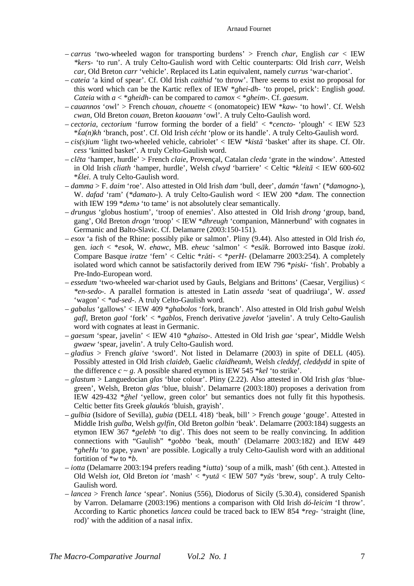#### Arnaud Fournet

- *carrus* 'two-wheeled wagon for transporting burdens' > French *char*, English *car* < IEW *\*kers-* 'to run'. A truly Celto-Gaulish word with Celtic counterparts: Old Irish *carr*, Welsh *car*, Old Breton *carr* 'vehicle'. Replaced its Latin equivalent, namely *currus* 'war-chariot'.
- *cateia* 'a kind of spear'. Cf. Old Irish *caithid* 'to throw'. There seems to exist no proposal for this word which can be the Kartic reflex of IEW \**ghei-dh*- 'to propel, prick': English *goad*. *Cateia* with *a* < \**gheidh*- can be compared to *camox* < \**gheim*-. Cf. *gaesum*.
- *cauannos* 'owl' > French *chouan*, *chouette* < (onomatopeic) IEW \**kaw* 'to howl'. Cf. Welsh *cwan*, Old Breton *couan*, Breton *kaouann* 'owl'. A truly Celto-Gaulish word.
- *cectoria*, *cectorium* 'furrow forming the border of a field' < \**cencto* 'plough' < IEW 523 \**ǩa(n)kh* 'branch, post'. Cf. Old Irish *cécht* 'plow or its handle'. A truly Celto-Gaulish word.
- *cis(s)ium* 'light two-wheeled vehicle, cabriolet' < IEW *\*kistā* 'basket' after its shape. Cf. OIr. *cess* 'knitted basket'. A truly Celto-Gaulish word.
- *clēta* 'hamper, hurdle' > French *claie*, Provençal, Catalan *cleda* 'grate in the window'. Attested in Old Irish *cliath* 'hamper, hurdle', Welsh *clwyd* 'barriere' < Celtic *\*kleitā* < IEW 600-602 \**ǩlei*. A truly Celto-Gaulish word.
- *damma* > F. *daim* 'roe'. Also attested in Old Irish *dam* 'bull, deer', *damán* 'fawn' (*\*damogno-*), W. *dafad* 'ram' (*\*damato-*). A truly Celto-Gaulish word < IEW 200 \**dam*. The connection with IEW 199 *\*dema* 'to tame' is not absolutely clear semantically.
- *drungus* 'globus hostium', 'troop of enemies'. Also attested in Old Irish *drong* 'group, band, gang', Old Breton *drogn* 'troop' < IEW \**dhreugh* 'companion, Männerbund' with cognates in Germanic and Balto-Slavic. Cf. Delamarre (2003:150-151).
- *esox* 'a fish of the Rhine: possibly pike or salmon'. Pliny (9.44). Also attested in Old Irish *éo*, gen. *iach* < \**esok*, W. *ehawc*, MB. *eheuc* 'salmon' < \**esāk*. Borrowed into Basque *izoki*. Compare Basque *iratze* 'fern' < Celtic \**răti*- < \**perH-* (Delamarre 2003:254). A completely isolated word which cannot be satisfactorily derived from IEW 796 \**piski*- 'fish'. Probably a Pre-Indo-European word.
- *essedum* 'two-wheeled war-chariot used by Gauls, Belgians and Brittons' (Caesar, Vergilius) < *\*en-sedo-.* A parallel formation is attested in Latin *asseda* 'seat of quadriiuga', W. *assed*  'wagon' < *\*ad-sed-*. A truly Celto-Gaulish word.
- *gabalus* 'gallows' < IEW 409 \**ghabolos* 'fork, branch'. Also attested in Old Irish *gabul* Welsh *gafl*, Breton *gaol* 'fork' < \**gablos*, French derivative *javelot* 'javelin'. A truly Celto-Gaulish word with cognates at least in Germanic.
- *gaesum* 'spear, javelin' < IEW 410 \**ghaiso*-. Attested in Old Irish *gae* 'spear', Middle Welsh *gwaew* 'spear, javelin'. A truly Celto-Gaulish word.
- *gladius* > French *glaive* 'sword'. Not listed in Delamarre (2003) in spite of DELL (405). Possibly attested in Old Irish *claideb*, Gaelic *claidheamh*, Welsh *cleddyf*, *cleddydd* in spite of the difference  $c \sim g$ . A possible shared etymon is IEW 545 \**kel* 'to strike'.
- *glastum* > Languedocian *glas* 'blue colour'. Pliny (2.22). Also attested in Old Irish *glas* 'bluegreen', Welsh, Breton *glas* 'blue, bluish'. Delamarre (2003:180) proposes a derivation from IEW 429-432 \**ğhel* 'yellow, green color' but semantics does not fully fit this hypothesis. Celtic better fits Greek *glaukós* 'bluish, grayish'.
- *gulbia* (Isidore of Sevilla), *gubia* (DELL 418) 'beak, bill' > French *gouge* 'gouge'. Attested in Middle Irish *gulba*, Welsh *gylfin*, Old Breton *golbin* 'beak'. Delamarre (2003:184) suggests an etymon IEW 367 \**gelebh* 'to dig'. This does not seem to be really convincing. In addition connections with "Gaulish" \**gobbo* 'beak, mouth' (Delamarre 2003:182) and IEW 449 \**gheHu* 'to gape, yawn' are possible. Logically a truly Celto-Gaulish word with an additional fortition of \**w* to \**b*.
- *iotta* (Delamarre 2003:194 prefers reading \**iutta*) 'soup of a milk, mash' (6th cent.). Attested in Old Welsh *iot*, Old Breton *iot* 'mash' < \**yutā* < IEW 507 \**yūs* 'brew, soup'. A truly Celto-Gaulish word.
- *lancea* > French *lance* 'spear'. Nonius (556), Diodorus of Sicily (5.30.4), considered Spanish by Varron. Delamarre (2003:196) mentions a comparison with Old Irish *dó-leicim* 'I throw'. According to Kartic phonetics *lancea* could be traced back to IEW 854 \**reg*- 'straight (line, rod)' with the addition of a nasal infix.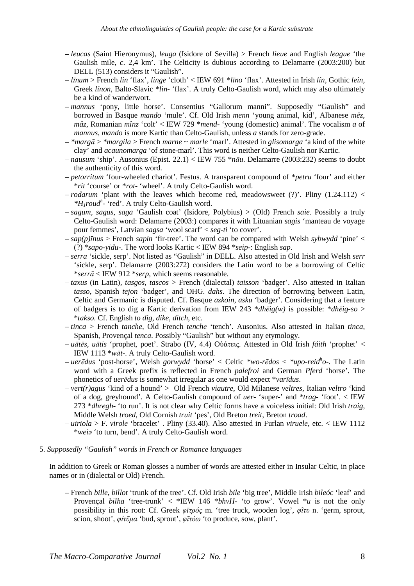- *leucas* (Saint Hieronymus), *leuga* (Isidore of Sevilla) > French *lieue* and English *league* 'the Gaulish mile, *c*. 2,4 km'. The Celticity is dubious according to Delamarre (2003:200) but DELL (513) considers it "Gaulish".
- *līnum* > French *lin* 'flax', *linge* 'cloth' < IEW 691 \**līno* 'flax'. Attested in Irish *lín*, Gothic *lein*, Greek *línon*, Balto-Slavic *\*lin-* 'flax'. A truly Celto-Gaulish word, which may also ultimately be a kind of wanderwort.
- *mannus* 'pony, little horse'. Consentius "Gallorum manni". Supposedly "Gaulish" and borrowed in Basque *mando* 'mule'. Cf. Old Irish *menn* 'young animal, kid', Albanese *mëz*, *mâz*, Romanian *mînz* 'colt' < IEW 729 \**mend*- 'young (domestic) animal'. The vocalism *a* of *mannus*, *mando* is more Kartic than Celto-Gaulish, unless *a* stands for zero-grade.
- *\*margā* > *\*margila* > French *marne ~ marle* 'marl'. Attested in *glisomarga* 'a kind of the white clay' and *acaunomarga* 'of stone-marl'. This word is neither Celto-Gaulish nor Kartic.
- *nausum* 'ship'. Ausonius (Epist. 22.1) < IEW 755 \**nāu*. Delamarre (2003:232) seems to doubt the authenticity of this word.
- *petorritum* 'four-wheeled chariot'. Festus. A transparent compound of \**petru* 'four' and either \**rit* 'course' or \**rot*- 'wheel'. A truly Celto-Gaulish word.
- $-$  *rodarum* 'plant with the leaves which become red, meadowsweet (?)'. Pliny  $(1.24.112)$  < *\*H1roud<sup>h</sup> -* 'red'. A truly Celto-Gaulish word.
- *sagum*, *sagus*, *saga* 'Gaulish coat' (Isidore, Polybius) > (Old) French *saie*. Possibly a truly Celto-Gaulish word: Delamarre (2003:) compares it with Lituanian *sagis* 'manteau de voyage pour femmes', Latvian *sagsa* 'wool scarf' < *seg-ti* 'to cover'.
- $-\frac{1}{\pi}$  *sap(p)* $\pi$ *<sub>i</sub>us* > French *sapin* 'fir-tree'. The word can be compared with Welsh *sybwydd* 'pine' < (?) *\*sapo-yidu-*. The word looks Kartic < IEW 894 \**seip*-: English *sap*.
- *serra* 'sickle, serp'. Not listed as "Gaulish" in DELL. Also attested in Old Irish and Welsh *serr* 'sickle, serp'. Delamarre (2003:272) considers the Latin word to be a borrowing of Celtic \**serrā* < IEW 912 \**serp*, which seems reasonable.
- *taxus* (in Latin)*, tasgos, tascos* > French (dialectal) *taisson* 'badger'. Also attested in Italian *tasso*, Spanish *tejon* 'badger', and OHG. *dahs*. The direction of borrowing between Latin, Celtic and Germanic is disputed. Cf. Basque *azkoin*, *asku* 'badger'. Considering that a feature of badgers is to dig a Kartic derivation from IEW 243 \**dhēig(w)* is possible: \**dhēig-so* > \**takso*. Cf. English *to dig*, *dike*, *ditch*, etc.
- *tinca* > French *tanche*, Old French *tenche* 'tench'. Ausonius. Also attested in Italian *tinca*, Spanish, Provençal *tenca*. Possibly "Gaulish" but without any etymology.
- *uātēs*, *uātis* 'prophet, poet'. Strabo (IV, 4.4) Oὐάτεις. Attested in Old Irish *fáith* 'prophet' < IEW 1113 \**wāt*-. A truly Celto-Gaulish word.
- *uerēdus* 'post-horse', Welsh *gorwydd* 'horse' < Celtic *\*wo-rēdos* < *\*upo-reid<sup>h</sup> o-*. The Latin word with a Greek prefix is reflected in French *palefroi* and German *Pferd* 'horse'. The phonetics of *uerēdus* is somewhat irregular as one would expect \**varīdus*.
- *vert(r)agus* 'kind of a hound' > Old French *viautre*, Old Milanese *veltres*, Italian *veltro* 'kind of a dog, greyhound'. A Celto-Gaulish compound of *uer-* 'super-' and *\*trag-* 'foot'. < IEW 273 \**dhregh*- 'to run'. It is not clear why Celtic forms have a voiceless initial: Old Irish *traig*, Middle Welsh *troed,* Old Cornish *truit* 'pes', Old Breton *treit*, Breton *troad*.
- *uiriola* > F. *virole* 'bracelet' . Pliny (33.40). Also attested in Furlan *viruele*, etc. < IEW 1112 \**weiə* 'to turn, bend'. A truly Celto-Gaulish word.
- 5. *Supposedly "Gaulish" words in French or Romance languages*

In addition to Greek or Roman glosses a number of words are attested either in Insular Celtic, in place names or in (dialectal or Old) French.

– French *bille*, *billot* 'trunk of the tree'. Cf. Old Irish *bile* 'big tree', Middle Irish *bileóc* 'leaf' and Provençal *bilha* 'tree-trunk' < \*IEW 146 \**bhvH*- 'to grow'. Vowel \**u* is not the only possibility in this root: Cf. Greek *φῑτρός* m. 'tree truck, wooden log', *φῖτυ* n. 'germ, sprout, scion, shoot', *φίτῦμα* 'bud, sprout', *φῖτύω* 'to produce, sow, plant'.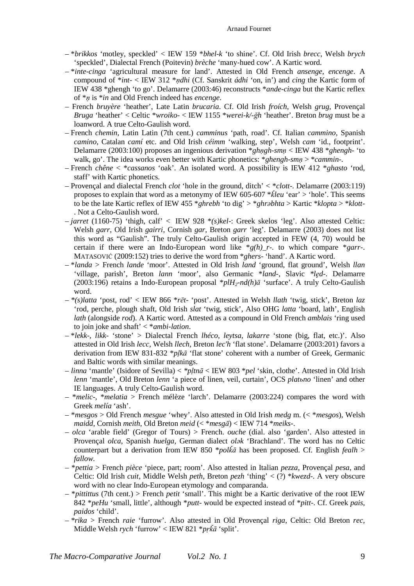- \**brikkos* 'motley, speckled' < IEW 159 \**bhel-k* 'to shine'. Cf. Old Irish *brecc*, Welsh *brych* 'speckled', Dialectal French (Poitevin) *brèche* 'many-hued cow'. A Kartic word.
- \**inte-cinga* 'agricultural measure for land'. Attested in Old French *ansenge, encenge*. A compound of \**int*- < IEW 312 \**ṇdhi* (Cf. Sanskrit *ádhi* 'on, in') and *cing* the Kartic form of IEW 438 \*ghengh 'to go'. Delamarre (2003:46) reconstructs \**ande-cinga* but the Kartic reflex of \**ṇ* is \**in* and Old French indeed has *encenge*.
- French *bruyère* 'heather', Late Latin *brucaria*. Cf. Old Irish *froích*, Welsh *grug*, Provençal *Bruga* 'heather' < Celtic \**wroiko*- < IEW 1155 \**werei-k/-ğh* 'heather'. Breton *brug* must be a loanword. A true Celto-Gaulish word.
- French *chemin*, Latin Latin (7th cent.) *camminus* 'path, road'. Cf. Italian *cammino*, Spanish *camino*, Catalan *camí* etc. and Old Irish *céimm* 'walking, step', Welsh *cam* 'id., footprint'. Delamarre (2003:100) proposes an ingenious derivation \**ghṇgh-smṇ* < IEW 438 \**ghengh*- 'to walk, go'. The idea works even better with Kartic phonetics: \**ghengh-smṇ* > \**cammin*-.
- French *chêne* < \**cassanos* 'oak'. An isolated word. A possibility is IEW 412 \**ghasto* 'rod, staff' with Kartic phonetics.
- Provençal and dialectal French *clot* 'hole in the ground, ditch' < \**clott*-. Delamarre (2003:119) proposes to explain that word as a metonymy of IEW 605-607 \**ǩleu* 'ear' > 'hole'. This seems to be the late Kartic reflex of IEW 455 \**ghrebh* 'to dig' > \**ghrəbhta* > Kartic \**klopta* > \**klott*- . Not a Celto-Gaulish word.
- *jarret* (1160-75) 'thigh, calf' < IEW 928 \**(s)kel*-: Greek skelos 'leg'. Also attested Celtic: Welsh *garr*, Old Irish *gairri*, Cornish *gar*, Breton *garr* 'leg'. Delamarre (2003) does not list this word as "Gaulish". The truly Celto-Gaulish origin accepted in FEW (4, 70) would be certain if there were an Indo-European word like \**g(h)\_r*-. to which compare \**garr*-. MATASOVIĆ (2009:152) tries to derive the word from \**ghers*- 'hand'. A Kartic word.
- \**landa* > French *lande* 'moor'. Attested in Old Irish *land* 'ground, flat ground', Welsh *llan* 'village, parish', Breton *lann* 'moor', also Germanic \**land-*, Slavic *\*lęd-*. Delamarre (2003:196) retains a Indo-European proposal \**plH2-nd(h)ā* 'surface'. A truly Celto-Gaulish word.
- *\*(s)latta* 'post, rod' < IEW 866 \**rēt* 'post'. Attested in Welsh *llath* 'twig, stick', Breton *laz* 'rod, perche, plough shaft, Old Irish *slat* 'twig, stick', Also OHG *latta* 'board, lath', English *lath* (alongside *rod*). A Kartic word. Attested as a compound in Old French *amblais* 'ring used to join joke and shaft' < \**ambi-lation*.
- \**lekk*-, *likk* 'stone' > Dialectal French *lhéco, leytsa, lakarre* 'stone (big, flat, etc.)'. Also attested in Old Irish *lecc*, Welsh *llech*, Breton *lec'h* 'flat stone'. Delamarre (2003:201) favors a derivation from IEW 831-832 \**pḷkā* 'flat stone' coherent with a number of Greek, Germanic and Baltic words with similar meanings.
- *linna* 'mantle' (Isidore of Sevilla) < *\*pḷtnā* < IEW 803 \**pel* 'skin, clothe'. Attested in Old Irish *lenn* 'mantle', Old Breton *lenn* 'a piece of linen, veil, curtain', OCS *platьno* 'linen' and other IE languages. A truly Celto-Gaulish word.
- \**melic*-, \**melatia* > French mélèze 'larch'. Delamarre (2003:224) compares the word with Greek *melía* 'ash'.
- \**mesgos* > Old French *mesgue* 'whey'. Also attested in Old Irish *medg* m. (< \**mesgos*), Welsh *maidd*, Cornish *meith*, Old Breton *meid* (< \**mesgā*) < IEW 714 \**meiks-*.
- *olca* 'arable field' (Gregor of Tours) > French. *ouche* (dial. also 'garden'. Also attested in Provençal *olca*, Spanish *huelga*, German dialect *olək* 'Brachland'. The word has no Celtic counterpart but a derivation from IEW 850 \**polǩā* has been proposed. Cf. English *fealh* > *fallow.*
- \**pettia* > French *pièce* 'piece, part; room'. Also attested in Italian *pezza*, Provençal *pesa*, and Celtic: Old Irish *cuit,* Middle Welsh *peth*, Breton *pezh* 'thing' < (?) \**kwezd*-. A very obscure word with no clear Indo-European etymology and comparanda.
- \**pittittus* (7th cent.) > French *petit* 'small'. This might be a Kartic derivative of the root IEW 842 \**peHu* 'small, little', although \**putt*- would be expected instead of \**pitt*-. Cf. Greek *pais*, *paidos* 'child'.
- *\*rika* > French *raie* 'furrow'. Also attested in Old Provençal *riga*, Celtic: Old Breton *rec*, Middle Welsh *rych* 'furrow' < IEW 821 \**pṛǩā* 'split'.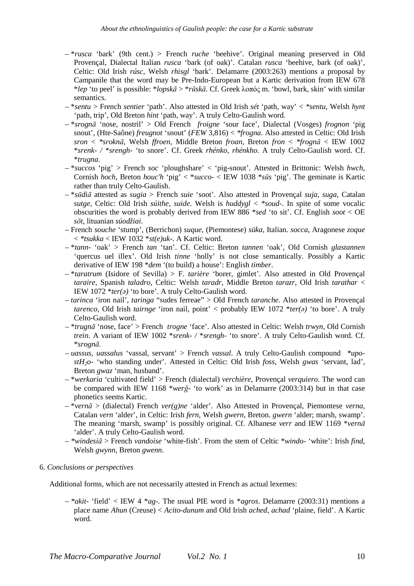- \**rusca* 'bark' (9th cent.) > French *ruche* 'beehive'. Original meaning preserved in Old Provençal, Dialectal Italian *rusca* 'bark (of oak)'. Catalan *rusca* 'beehive, bark (of oak)', Celtic: Old Irish *rúsc*, Welsh *rhisgl* 'bark'. Delamarre (2003:263) mentions a proposal by Campanile that the word may be Pre-Indo-European but a Kartic derivation from IEW 678 \**lep* 'to peel' is possible: \**lopskā* > \**rūskā*. Cf. Greek λοπός m. 'bowl, bark, skin' with similar semantics.
- \**sentu* > French *sentier* 'path'. Also attested in Old Irish *sét* 'path, way' < *\*sentu,* Welsh *hynt*  'path, trip', Old Breton *hint* 'path, way'. A truly Celto-Gaulish word.
- \**srognā* 'nose, nostril' > Old French *froigne* 'sour face', Dialectal (Vosges) *frognon* 'pig snout', (Hte-Saône) *freugnot* 'snout' (*FEW* 3,816) < *\*frogna*. Also attested in Celtic: Old Irish *sron* < *\*sroknā,* Welsh *ffroen*, Middle Breton *froan,* Breton *fron* < *\*frognā* < IEW 1002 \**srenk- /* \**srengh-* 'to snore'. Cf. Greek *rhénko, rhénkho*. A truly Celto-Gaulish word. Cf. \**trugna*.
- \**succos* 'pig' > French *soc* 'ploughshare' < 'pig-snout'. Attested in Brittonic: Welsh *hwch*, Cornish *hoch*, Breton *houc'h* 'pig' < \**succo*- < IEW 1038 \**sūs* 'pig'. The geminate is Kartic rather than truly Celto-Gaulish.
- \**sūdiā* attested as *sugia* > French *suie* 'soot'. Also attested in Provençal *suja*, *suga*, Catalan *sutge*, Celtic: Old Irish *súithe, suide*. Welsh is *huddygl* < *\*soud-*. In spite of some vocalic obscurities the word is probably derived from IEW 886 \**sed* 'to sit'. Cf. English *soot* < OE *sōt*, lituanian *súodžiai*.
- French *souche* 'stump', (Berrichon) *suque*, (Piemontese) *süka*, Italian. *socca*, Aragonese *zoque* < *\*tsukka* < IEW 1032 \**st(e)uk*-. A Kartic word.
- \**tann* 'oak' > French *tan* 'tan'. Cf. Celtic: Breton *tannen* 'oak', Old Cornish *glastannen* 'quercus uel illex'. Old Irish *tinne* 'holly' is not close semantically. Possibly a Kartic derivative of IEW 198 \**dem* '(to build) a house': English *timber*.
- \**taratrum* (Isidore of Sevilla) > F. *tarière* 'borer, gimlet'. Also attested in Old Provençal *taraire*, Spanish *taladro*, Celtic: Welsh *taradr*, Middle Breton *tarazr*, Old Irish *tarathar* < IEW 1072 \**ter(ə)* 'to bore'. A truly Celto-Gaulish word.
- *tarinca* 'iron nail', *taringa* "sudes ferreae" > Old French *taranche*. Also attested in Provençal *tarenco,* Old Irish *tairnge* 'iron nail, point' < probably IEW 1072 \**ter(ə)* 'to bore'. A truly Celto-Gaulish word.
- \**trugnā* 'nose, face' > French *trogne* 'face'. Also attested in Celtic: Welsh *trwyn*, Old Cornish *trein*. A variant of IEW 1002 \**srenk- /* \**srengh-* 'to snore'. A truly Celto-Gaulish word. Cf. \**srognā*.
- *uassus, uassalus* 'vassal, servant' > French *vassal*. A truly Celto-Gaulish compound *\*upostH2o-* 'who standing under'. Attested in Celtic: Old Irish *foss*, Welsh *gwas* 'servant, lad', Breton *gwaz* 'man, husband'.
- \**werkaria* 'cultivated field' > French (dialectal) *verchière*, Provençal *verquiero*. The word can be compared with IEW 1168 \**werğ*- 'to work' as in Delamarre (2003:314) but in that case phonetics seems Kartic.
- \**vernā* > (dialectal) French *ver(g)ne* 'alder'. Also Attested in Provençal, Piemontese *verna,*  Catalan *vern* 'alder', in Celtic: Irish *fern*, Welsh *gwern*, Breton. *gwern* 'alder; marsh, swamp'. The meaning 'marsh, swamp' is possibly original. Cf. Albanese *verr* and IEW 1169 \**vernā* 'alder'. A truly Celto-Gaulish word.
- *\*windesiā* > French *vandoise* 'white-fish'. From the stem of Celtic \**windo-* 'white': Irish *find*, Welsh *gwynn*, Breton *gwenn*.
- 6. *Conclusions or perspectives*

Additional forms, which are not necessarily attested in French as actual lexemes:

– *\*akit-* 'field' < IEW 4 \**ag*-. The usual PIE word is \**agros*. Delamarre (2003:31) mentions a place name *Ahun* (Creuse) < *Acito-dunum* and Old Irish *ached*, *achad* 'plaine, field'. A Kartic word.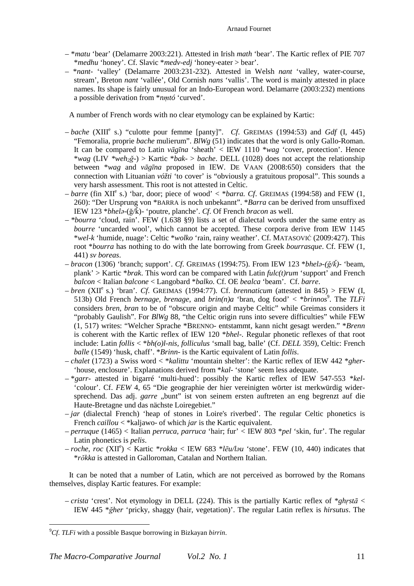- \**matu* 'bear' (Delamarre 2003:221). Attested in Irish *math* 'bear'. The Kartic reflex of PIE 707 \**medhu* 'honey'. Cf. Slavic \**medv-edj* 'honey-eater > bear'.
- \**nant-* 'valley' (Delamarre 2003:231-232). Attested in Welsh *nant* 'valley, water-course, stream', Breton *nant* 'vallée', Old Cornish *nans* 'vallis'. The word is mainly attested in place names. Its shape is fairly unusual for an Indo-European word. Delamarre (2003:232) mentions a possible derivation from \**nṃtó* 'curved'.

A number of French words with no clear etymology can be explained by Kartic:

- *bache* (XIII<sup>e</sup> s.) "culotte pour femme [panty]". *Cf.* GREIMAS (1994:53) and *Gdf* (I, 445) "Femoralia, proprie *bache* mulierum". *BlWg* (51) indicates that the word is only Gallo-Roman. It can be compared to Latin *vāgīna* 'sheath' < IEW 1110 \**wag* 'cover, protection'. Hence \**wag* (LIV *\*weh2ğ-*) > Kartic \**bak*- > *bache*. DELL (1028) does not accept the relationship between \**wag* and *vāgīna* proposed in IEW. DE VAAN (2008:650) considers that the connection with Lituanian *vóžti* 'to cover' is "obviously a gratuitous proposal". This sounds a very harsh assessment. This root is not attested in Celtic.
- $-$  *barre* (fin XII<sup>e</sup> s.) 'bar, door; piece of wood' < \**barra. Cf.* GREIMAS (1994:58) and FEW (1, 260): "Der Ursprung von \*BARRA is noch unbekannt". \**Barra* can be derived from unsuffixed IEW 123 \**bhelə*-(ğ/ǩ)- 'poutre, planche'. *Cf*. Of French *bracon* as well.
- *\*bourra* 'cloud, rain'. FEW (1.638 §9) lists a set of dialectal words under the same entry as *bourre* 'uncarded wool', which cannot be accepted. These corpora derive from IEW 1145 \**wel-k* 'humide, nuage': Celtic \**wolko* 'rain, rainy weather'. Cf. MATASOVIĆ (2009:427). This root \**bourra* has nothing to do with the late borrowing from Greek *bourrasque*. Cf. FEW (1, 441) *sv boreas*.
- *bracon* (1306) 'branch; support'. *Cf*. GREIMAS (1994:75). From IEW 123 \**bhelə-(ğ/ǩ)* 'beam, plank' > Kartic \**brak*. This word can be compared with Latin *fulc(t)rum* 'support' and French *balcon* < Italian *balcone* < Langobard \**balko*. Cf. OE *bealca* 'beam'. Cf. *barre*.
- $-bren$  (XII<sup>e</sup>s.) 'bran'. *Cf.* GREIMAS (1994:77). Cf. *brennaticum* (attested in 845) > FEW (I, 513b) Old French *bernage*, *brenage*, and *brin(n)a* 'bran, dog food' < \**brinnos*<sup>9</sup>. The *TLFi* considers *bren*, *bran* to be of "obscure origin and maybe Celtic" while Greimas considers it "probably Gaulish". For *BlWg* 88, "the Celtic origin runs into severe difficulties" while FEW (1, 517) writes: "Welcher Sprache \*BRENNO- entstammt, kann nicht gesagt werden." \**Brenn* is coherent with the Kartic reflex of IEW 120 \**bhel*-. Regular phonetic reflexes of that root include: Latin *follis* < \**bh(o)l-nis, folliculus* 'small bag, balle' (Cf. *DELL* 359), Celtic: French *balle* (1549) 'husk, chaff'. \**Brinn*- is the Kartic equivalent of Latin *follis*.
- *chalet* (1723) a Swiss word < \**kalittu* 'mountain shelter': the Kartic reflex of IEW 442 \**gher* 'house, enclosure'. Explanations derived from \**kal*- 'stone' seem less adequate.
- \**garr* attested in bigarré 'multi-hued': possibly the Kartic reflex of IEW 547-553 \**kel* 'colour'. Cf. *FEW* 4, 65 "Die geographie der hier vereinigten wörter ist merkwürdig widersprechend. Das adj. *garre* "bunt" ist von seinem ersten auftreten an eng begrenzt auf die Haute-Bretagne und das nächste Loiregebiet."
- *jar* (dialectal French) 'heap of stones in Loire's riverbed'. The regular Celtic phonetics is French *caillou* < \*kaljawo- of which *jar* is the Kartic equivalent.
- *perruque* (1465) < Italian *perruca, parruca* 'hair; fur' < IEW 803 \**pel* 'skin, fur'. The regular Latin phonetics is *pelis*.
- *roche*, *roc* (XII<sup>e</sup> ) < Kartic \**rokka* < IEW 683 \**lēu/ləu* 'stone'. FEW (10, 440) indicates that \**rŏkka* is attested in Galloroman, Catalan and Northern Italian.

It can be noted that a number of Latin, which are not perceived as borrowed by the Romans themselves, display Kartic features. For example:

– *crista* 'crest'. Not etymology in DELL (224). This is the partially Kartic reflex of \**ghṛstā* < IEW 445 \**ğher* 'pricky, shaggy (hair, vegetation)'. The regular Latin reflex is *hirsutus*. The

 $\overline{a}$ 

<sup>9</sup>*Cf*. *TLFi* with a possible Basque borrowing in Bizkayan *birrin*.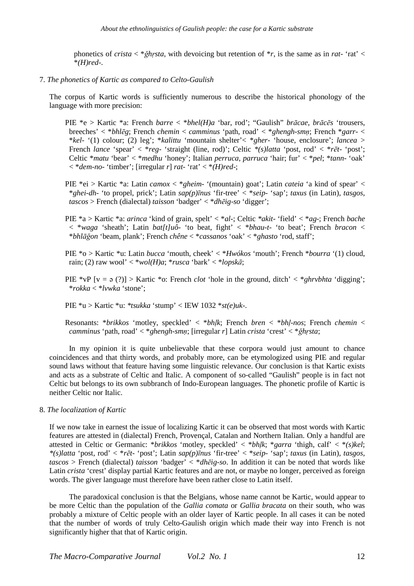phonetics of *crista* < \**ğhṛsta*, with devoicing but retention of \**r*, is the same as in *rat-* 'rat' < \**(H)red*-.

7. *The phonetics of Kartic as compared to Celto-Gaulish*

The corpus of Kartic words is sufficiently numerous to describe the historical phonology of the language with more precision:

- PIE \*e > Kartic \*a: French *barre* < \**bhel(H)a* 'bar, rod'; "Gaulish" *brācae*, *brācēs* 'trousers, breeches' < \**bhlēg*; French *chemin* < *camminus* 'path, road' < \**ghengh-smṇ*; French \**garr*- < \**kel*- '(1) colour; (2) leg'; \**kalittu* 'mountain shelter'< \**gher*- 'house, enclosure'; *lancea* > French *lance* 'spear' < \**reg*- 'straight (line, rod)'; Celtic *\*(s)latta* 'post, rod' < \**rēt*- 'post'; Celtic \**matu* 'bear' < \**medhu* 'honey'; Italian *perruca, parruca* 'hair; fur' < \**pel*; \**tann*- 'oak'  $\langle \cdot \rangle^*$  *dem-no-* 'timber'; [irregular *r*] *rat-* 'rat'  $\langle \cdot \rangle^*$ *(H)red-*;
- PIE \*ei > Kartic \*a: Latin *camox* < \**gheim* '(mountain) goat'; Latin *cateia* 'a kind of spear' < \**ghei-dh*- 'to propel, prick'; Latin *sap(p)īnus* 'fir-tree' < \**seip*- 'sap'; *taxus* (in Latin)*, tasgos, tascos* > French (dialectal) *taisson* 'badger' < \**dhēig-so* 'digger';
- PIE \*a > Kartic \*a: *arinca* 'kind of grain, spelt' < \**al*-; Celtic *\*akit-* 'field' < \**ag*-; French *bache*  < \**waga* 'sheath'; Latin *bat[t]uô*- 'to beat, fight' < \**bhau-t*- 'to beat'; French *bracon* < \**bhlāğon* 'beam, plank'; French *chêne* < \**cassanos* 'oak' < \**ghasto* 'rod, staff';
- PIE \*o > Kartic \*u: Latin *bucca* 'mouth, cheek' < \**Hwókos* 'mouth'; French \**bourra* '(1) cloud, rain; (2) raw wool' < \**wol(H)a*; \**rusca* 'bark' < \**lopskā*;
- PIE \*vP [v = ə (?)] > Kartic \*o: French *clot* 'hole in the ground, ditch' < \**ghrvbhta* 'digging'; \**rokka* < \**lvwka* 'stone';

PIE \*u > Kartic \*u: *\*tsukka* 'stump' < IEW 1032 \**st(e)uk*-.

Resonants: \**brikkos* 'motley, speckled' < \**bhḷk*; French *bren* < \**bhḷ-nos*; French *chemin* < *camminus* 'path, road' < \**ghengh-smṇ*; [irregular *r*] Latin *crista* 'crest' < \**ğhṛsta*;

In my opinion it is quite unbelievable that these corpora would just amount to chance coincidences and that thirty words, and probably more, can be etymologized using PIE and regular sound laws without that feature having some linguistic relevance. Our conclusion is that Kartic exists and acts as a substrate of Celtic and Italic. A component of so-called "Gaulish" people is in fact not Celtic but belongs to its own subbranch of Indo-European languages. The phonetic profile of Kartic is neither Celtic nor Italic.

8. *The localization of Kartic* 

If we now take in earnest the issue of localizing Kartic it can be observed that most words with Kartic features are attested in (dialectal) French, Provençal, Catalan and Northern Italian. Only a handful are attested in Celtic or Germanic: \**brikkos* 'motley, speckled' < \**bhḷk*; \**garra* 'thigh, calf' < \**(s)kel*; *\*(s)latta* 'post, rod' < \**rēt*- 'post'; Latin *sap(p)īnus* 'fir-tree' < \**seip*- 'sap'; *taxus* (in Latin)*, tasgos, tascos* > French (dialectal) *taisson* 'badger' < \**dhēig-so*. In addition it can be noted that words like Latin *crista* 'crest' display partial Kartic features and are not, or maybe no longer, perceived as foreign words. The giver language must therefore have been rather close to Latin itself.

The paradoxical conclusion is that the Belgians, whose name cannot be Kartic, would appear to be more Celtic than the population of the *Gallia comata* or *Gallia bracata* on their south, who was probably a mixture of Celtic people with an older layer of Kartic people. In all cases it can be noted that the number of words of truly Celto-Gaulish origin which made their way into French is not significantly higher that that of Kartic origin.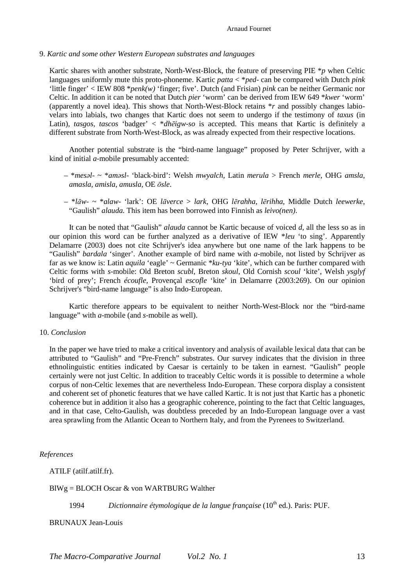### 9. *Kartic and some other Western European substrates and languages*

Kartic shares with another substrate, North-West-Block, the feature of preserving PIE \**p* when Celtic languages uniformly mute this proto-phoneme. Kartic *patta* < \**ped*- can be compared with Dutch *pink* 'little finger' < IEW 808 \**penk(w)* 'finger; five'. Dutch (and Frisian) *pink* can be neither Germanic nor Celtic. In addition it can be noted that Dutch *pier* 'worm' can be derived from IEW 649 \**kwer* 'worm' (apparently a novel idea). This shows that North-West-Block retains \**r* and possibly changes labiovelars into labials, two changes that Kartic does not seem to undergo if the testimony of *taxus* (in Latin)*, tasgos, tascos* 'badger' < \**dhēigw-so* is accepted. This means that Kartic is definitely a different substrate from North-West-Block, as was already expected from their respective locations.

Another potential substrate is the "bird-name language" proposed by Peter Schrijver, with a kind of initial *a*-mobile presumably accented:

- \**mesəl* ~ \**aməsl* 'black-bird': Welsh *mwyalch*, Latin *merula* > French *merle*, OHG *amsla*, *amasla*, *amisla*, *amusla,* OE *ōsle*.
- \**lāw* ~ \**alaw* 'lark': OE *lāverce* > *lark*, OHG *lērahha*, *lērihha*, Middle Dutch *leewerke*, "Gaulish" *alauda.* This item has been borrowed into Finnish as *leivo(nen)*.

It can be noted that "Gaulish" *alauda* cannot be Kartic because of voiced *d*, all the less so as in our opinion this word can be further analyzed as a derivative of IEW \**leu* 'to sing'. Apparently Delamarre (2003) does not cite Schrijver's idea anywhere but one name of the lark happens to be "Gaulish" *bardala* 'singer'. Another example of bird name with *a*-mobile, not listed by Schrijver as far as we know is: Latin *aquila* 'eagle' ~ Germanic \**ku-tya* 'kite', which can be further compared with Celtic forms with *s*-mobile: Old Breton *scubl*, Breton *skoul*, Old Cornish *scoul* 'kite', Welsh *ysglyf*  'bird of prey'; French *écoufle,* Provençal *escofle* 'kite' in Delamarre (2003:269). On our opinion Schrijver's "bird-name language" is also Indo-European.

Kartic therefore appears to be equivalent to neither North-West-Block nor the "bird-name language" with *a*-mobile (and *s*-mobile as well).

### 10. *Conclusion*

In the paper we have tried to make a critical inventory and analysis of available lexical data that can be attributed to "Gaulish" and "Pre-French" substrates. Our survey indicates that the division in three ethnolinguistic entities indicated by Caesar is certainly to be taken in earnest. "Gaulish" people certainly were not just Celtic. In addition to traceably Celtic words it is possible to determine a whole corpus of non-Celtic lexemes that are nevertheless Indo-European. These corpora display a consistent and coherent set of phonetic features that we have called Kartic. It is not just that Kartic has a phonetic coherence but in addition it also has a geographic coherence, pointing to the fact that Celtic languages, and in that case, Celto-Gaulish, was doubtless preceded by an Indo-European language over a vast area sprawling from the Atlantic Ocean to Northern Italy, and from the Pyrenees to Switzerland.

# *References*

ATILF (atilf.atilf.fr).

# BlWg = BLOCH Oscar & von WARTBURG Walther

1994 *Dictionnaire étymologique de la langue française* (10<sup>th</sup> ed.). Paris: PUF.

BRUNAUX Jean-Louis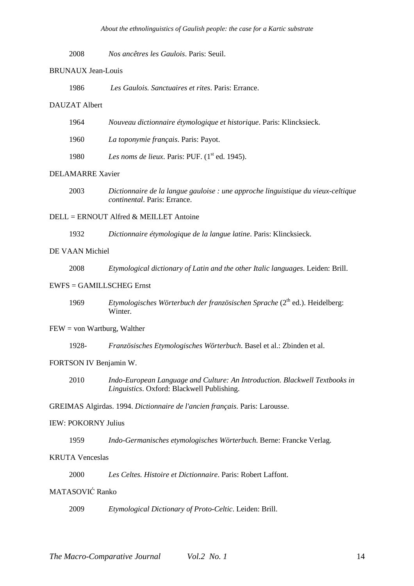2008 *Nos ancêtres les Gaulois*. Paris: Seuil.

# BRUNAUX Jean-Louis

1986 *Les Gaulois. Sanctuaires et rites*. Paris: Errance.

# DAUZAT Albert

| 1964 | Nouveau dictionnaire étymologique et historique. Paris: Klincksieck. |
|------|----------------------------------------------------------------------|
| 1960 | La toponymie français. Paris: Payot.                                 |
| 1980 | Les noms de lieux. Paris: PUF. $(1st$ ed. 1945).                     |

# DELAMARRE Xavier

2003 *Dictionnaire de la langue gauloise : une approche linguistique du vieux-celtique continental*. Paris: Errance.

# DELL = ERNOUT Alfred & MEILLET Antoine

1932 *Dictionnaire étymologique de la langue latine*. Paris: Klincksieck.

## DE VAAN Michiel

2008 *Etymological dictionary of Latin and the other Italic languages*. Leiden: Brill.

# EWFS = GAMILLSCHEG Ernst

1969 *Etymologisches Wörterbuch der französischen Sprache* (2<sup>th</sup> ed.). Heidelberg: Winter

### $FEW = von Wartburg, Walter$

1928- *Französisches Etymologisches Wörterbuch*. Basel et al.: Zbinden et al.

### FORTSON IV Benjamin W.

2010 *Indo-European Language and Culture: An Introduction. Blackwell Textbooks in Linguistics*. Oxford: Blackwell Publishing.

GREIMAS Algirdas. 1994. *Dictionnaire de l'ancien français*. Paris: Larousse.

# IEW: POKORNY Julius

1959 *Indo-Germanisches etymologisches Wörterbuch*. Berne: Francke Verlag.

### KRUTA Venceslas

2000 *Les Celtes. Histoire et Dictionnaire*. Paris: Robert Laffont.

# MATASOVIĆ Ranko

2009 *Etymological Dictionary of Proto-Celtic*. Leiden: Brill.